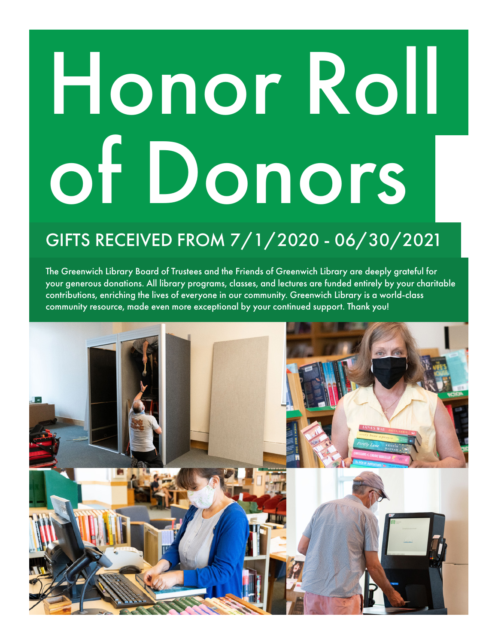# Honor Roll of Donors

### GIFTS RECEIVED FROM 7/1/2020 - 06/30/2021

The Greenwich Library Board of Trustees and the Friends of Greenwich Library are deeply grateful for your generous donations. All library programs, classes, and lectures are funded entirely by your charitable contributions, enriching the lives of everyone in our community. Greenwich Library is a world-class community resource, made even more exceptional by your continued support. Thank you!

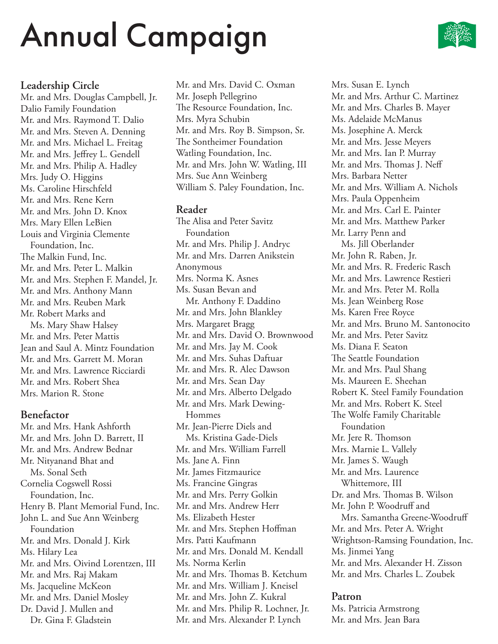

#### **Leadership Circle**

Mr. and Mrs. Douglas Campbell, Jr. Dalio Family Foundation Mr. and Mrs. Raymond T. Dalio Mr. and Mrs. Steven A. Denning Mr. and Mrs. Michael L. Freitag Mr. and Mrs. Jeffrey L. Gendell Mr. and Mrs. Philip A. Hadley Mrs. Judy O. Higgins Ms. Caroline Hirschfeld Mr. and Mrs. Rene Kern Mr. and Mrs. John D. Knox Mrs. Mary Ellen LeBien Louis and Virginia Clemente Foundation, Inc. The Malkin Fund, Inc. Mr. and Mrs. Peter L. Malkin Mr. and Mrs. Stephen F. Mandel, Jr. Mr. and Mrs. Anthony Mann Mr. and Mrs. Reuben Mark Mr. Robert Marks and Ms. Mary Shaw Halsey Mr. and Mrs. Peter Mattis Jean and Saul A. Mintz Foundation Mr. and Mrs. Garrett M. Moran Mr. and Mrs. Lawrence Ricciardi Mr. and Mrs. Robert Shea Mrs. Marion R. Stone

#### **Benefactor**

Mr. and Mrs. Hank Ashforth Mr. and Mrs. John D. Barrett, II Mr. and Mrs. Andrew Bednar Mr. Nityanand Bhat and Ms. Sonal Seth Cornelia Cogswell Rossi Foundation, Inc. Henry B. Plant Memorial Fund, Inc. John L. and Sue Ann Weinberg Foundation Mr. and Mrs. Donald J. Kirk Ms. Hilary Lea Mr. and Mrs. Oivind Lorentzen, III Mr. and Mrs. Raj Makam Ms. Jacqueline McKeon Mr. and Mrs. Daniel Mosley Dr. David J. Mullen and Dr. Gina F. Gladstein

Mr. and Mrs. David C. Oxman Mr. Joseph Pellegrino The Resource Foundation, Inc. Mrs. Myra Schubin Mr. and Mrs. Roy B. Simpson, Sr. The Sontheimer Foundation Watling Foundation, Inc. Mr. and Mrs. John W. Watling, III Mrs. Sue Ann Weinberg William S. Paley Foundation, Inc.

#### **Reader**

The Alisa and Peter Savitz Foundation Mr. and Mrs. Philip J. Andryc Mr. and Mrs. Darren Anikstein Anonymous Mrs. Norma K. Asnes Ms. Susan Bevan and Mr. Anthony F. Daddino Mr. and Mrs. John Blankley Mrs. Margaret Bragg Mr. and Mrs. David O. Brownwood Mr. and Mrs. Jay M. Cook Mr. and Mrs. Suhas Daftuar Mr. and Mrs. R. Alec Dawson Mr. and Mrs. Sean Day Mr. and Mrs. Alberto Delgado Mr. and Mrs. Mark Dewing- Hommes Mr. Jean-Pierre Diels and Ms. Kristina Gade-Diels Mr. and Mrs. William Farrell Ms. Jane A. Finn Mr. James Fitzmaurice Ms. Francine Gingras Mr. and Mrs. Perry Golkin Mr. and Mrs. Andrew Herr Ms. Elizabeth Hester Mr. and Mrs. Stephen Hoffman Mrs. Patti Kaufmann Mr. and Mrs. Donald M. Kendall Ms. Norma Kerlin Mr. and Mrs. Thomas B. Ketchum Mr. and Mrs. William J. Kneisel Mr. and Mrs. John Z. Kukral Mr. and Mrs. Philip R. Lochner, Jr. Mr. and Mrs. Alexander P. Lynch

Mrs. Susan E. Lynch Mr. and Mrs. Arthur C. Martinez Mr. and Mrs. Charles B. Mayer Ms. Adelaide McManus Ms. Josephine A. Merck Mr. and Mrs. Jesse Meyers Mr. and Mrs. Ian P. Murray Mr. and Mrs. Thomas J. Neff Mrs. Barbara Netter Mr. and Mrs. William A. Nichols Mrs. Paula Oppenheim Mr. and Mrs. Carl E. Painter Mr. and Mrs. Matthew Parker Mr. Larry Penn and Ms. Jill Oberlander Mr. John R. Raben, Jr. Mr. and Mrs. R. Frederic Rasch Mr. and Mrs. Lawrence Restieri Mr. and Mrs. Peter M. Rolla Ms. Jean Weinberg Rose Ms. Karen Free Royce Mr. and Mrs. Bruno M. Santonocito Mr. and Mrs. Peter Savitz Ms. Diana F. Seaton The Seattle Foundation Mr. and Mrs. Paul Shang Ms. Maureen E. Sheehan Robert K. Steel Family Foundation Mr. and Mrs. Robert K. Steel The Wolfe Family Charitable Foundation Mr. Jere R. Thomson Mrs. Marnie L. Vallely Mr. James S. Waugh Mr. and Mrs. Laurence Whittemore, III Dr. and Mrs. Thomas B. Wilson Mr. John P. Woodruff and Mrs. Samantha Greene-Woodruff Mr. and Mrs. Peter A. Wright Wrightson-Ramsing Foundation, Inc. Ms. Jinmei Yang Mr. and Mrs. Alexander H. Zisson Mr. and Mrs. Charles L. Zoubek

#### **Patron**

Ms. Patricia Armstrong Mr. and Mrs. Jean Bara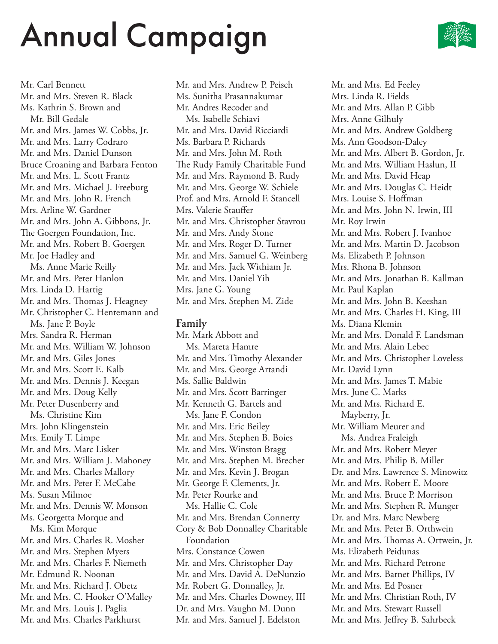

Mr. Carl Bennett Mr. and Mrs. Steven R. Black Ms. Kathrin S. Brown and Mr. Bill Gedale Mr. and Mrs. James W. Cobbs, Jr. Mr. and Mrs. Larry Codraro Mr. and Mrs. Daniel Dunson Bruce Croaning and Barbara Fenton Mr. and Mrs. L. Scott Frantz Mr. and Mrs. Michael J. Freeburg Mr. and Mrs. John R. French Mrs. Arline W. Gardner Mr. and Mrs. John A. Gibbons, Jr. The Goergen Foundation, Inc. Mr. and Mrs. Robert B. Goergen Mr. Joe Hadley and Ms. Anne Marie Reilly Mr. and Mrs. Peter Hanlon Mrs. Linda D. Hartig Mr. and Mrs. Thomas J. Heagney Mr. Christopher C. Hentemann and Ms. Jane P. Boyle Mrs. Sandra R. Herman Mr. and Mrs. William W. Johnson Mr. and Mrs. Giles Jones Mr. and Mrs. Scott E. Kalb Mr. and Mrs. Dennis J. Keegan Mr. and Mrs. Doug Kelly Mr. Peter Dusenberry and Ms. Christine Kim Mrs. John Klingenstein Mrs. Emily T. Limpe Mr. and Mrs. Marc Lisker Mr. and Mrs. William J. Mahoney Mr. and Mrs. Charles Mallory Mr. and Mrs. Peter F. McCabe Ms. Susan Milmoe Mr. and Mrs. Dennis W. Monson Ms. Georgetta Morque and Ms. Kim Morque Mr. and Mrs. Charles R. Mosher Mr. and Mrs. Stephen Myers Mr. and Mrs. Charles F. Niemeth Mr. Edmund R. Noonan Mr. and Mrs. Richard J. Obetz Mr. and Mrs. C. Hooker O'Malley Mr. and Mrs. Louis J. Paglia Mr. and Mrs. Charles Parkhurst

Mr. and Mrs. Andrew P. Peisch Ms. Sunitha Prasannakumar Mr. Andres Recoder and Ms. Isabelle Schiavi Mr. and Mrs. David Ricciardi Ms. Barbara P. Richards Mr. and Mrs. John M. Roth The Rudy Family Charitable Fund Mr. and Mrs. Raymond B. Rudy Mr. and Mrs. George W. Schiele Prof. and Mrs. Arnold F. Stancell Mrs. Valerie Stauffer Mr. and Mrs. Christopher Stavrou Mr. and Mrs. Andy Stone Mr. and Mrs. Roger D. Turner Mr. and Mrs. Samuel G. Weinberg Mr. and Mrs. Jack Withiam Jr. Mr. and Mrs. Daniel Yih Mrs. Jane G. Young Mr. and Mrs. Stephen M. Zide

#### **Family**

Mr. Mark Abbott and Ms. Mareta Hamre Mr. and Mrs. Timothy Alexander Mr. and Mrs. George Artandi Ms. Sallie Baldwin Mr. and Mrs. Scott Barringer Mr. Kenneth G. Bartels and Ms. Jane F. Condon Mr. and Mrs. Eric Beiley Mr. and Mrs. Stephen B. Boies Mr. and Mrs. Winston Bragg Mr. and Mrs. Stephen M. Brecher Mr. and Mrs. Kevin J. Brogan Mr. George F. Clements, Jr. Mr. Peter Rourke and Ms. Hallie C. Cole Mr. and Mrs. Brendan Connerty Cory & Bob Donnalley Charitable Foundation Mrs. Constance Cowen Mr. and Mrs. Christopher Day Mr. and Mrs. David A. DeNunzio Mr. Robert G. Donnalley, Jr. Mr. and Mrs. Charles Downey, III Dr. and Mrs. Vaughn M. Dunn Mr. and Mrs. Samuel J. Edelston

Mr. and Mrs. Ed Feeley Mrs. Linda R. Fields Mr. and Mrs. Allan P. Gibb Mrs. Anne Gilhuly Mr. and Mrs. Andrew Goldberg Ms. Ann Goodson-Daley Mr. and Mrs. Albert B. Gordon, Jr. Mr. and Mrs. William Haslun, II Mr. and Mrs. David Heap Mr. and Mrs. Douglas C. Heidt Mrs. Louise S. Hoffman Mr. and Mrs. John N. Irwin, III Mr. Roy Irwin Mr. and Mrs. Robert J. Ivanhoe Mr. and Mrs. Martin D. Jacobson Ms. Elizabeth P. Johnson Mrs. Rhona B. Johnson Mr. and Mrs. Jonathan B. Kallman Mr. Paul Kaplan Mr. and Mrs. John B. Keeshan Mr. and Mrs. Charles H. King, III Ms. Diana Klemin Mr. and Mrs. Donald F. Landsman Mr. and Mrs. Alain Lebec Mr. and Mrs. Christopher Loveless Mr. David Lynn Mr. and Mrs. James T. Mabie Mrs. June C. Marks Mr. and Mrs. Richard E. Mayberry, Jr. Mr. William Meurer and Ms. Andrea Fraleigh Mr. and Mrs. Robert Meyer Mr. and Mrs. Philip B. Miller Dr. and Mrs. Lawrence S. Minowitz Mr. and Mrs. Robert E. Moore Mr. and Mrs. Bruce P. Morrison Mr. and Mrs. Stephen R. Munger Dr. and Mrs. Marc Newberg Mr. and Mrs. Peter B. Orthwein Mr. and Mrs. Thomas A. Ortwein, Jr. Ms. Elizabeth Peidunas Mr. and Mrs. Richard Petrone Mr. and Mrs. Barnet Phillips, IV Mr. and Mrs. Ed Posner Mr. and Mrs. Christian Roth, IV Mr. and Mrs. Stewart Russell Mr. and Mrs. Jeffrey B. Sahrbeck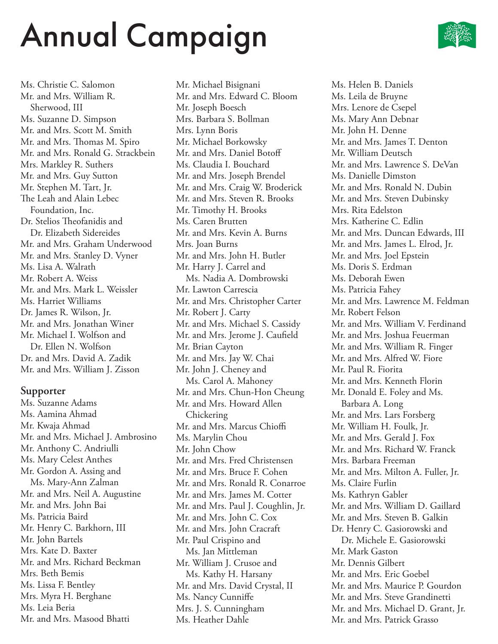Ms. Christie C. Salomon Mr. and Mrs. William R. Sherwood, III Ms. Suzanne D. Simpson Mr. and Mrs. Scott M. Smith Mr. and Mrs. Thomas M. Spiro Mr. and Mrs. Ronald G. Strackbein Mrs. Markley R. Suthers Mr. and Mrs. Guy Sutton Mr. Stephen M. Tart, Jr. The Leah and Alain Lebec Foundation, Inc. Dr. Stelios Theofanidis and Dr. Elizabeth Sidereides Mr. and Mrs. Graham Underwood Mr. and Mrs. Stanley D. Vyner Ms. Lisa A. Walrath Mr. Robert A. Weiss Mr. and Mrs. Mark L. Weissler Ms. Harriet Williams Dr. James R. Wilson, Jr. Mr. and Mrs. Jonathan Winer Mr. Michael I. Wolfson and Dr. Ellen N. Wolfson Dr. and Mrs. David A. Zadik Mr. and Mrs. William J. Zisson

#### **Supporter**

Ms. Suzanne Adams Ms. Aamina Ahmad Mr. Kwaja Ahmad Mr. and Mrs. Michael J. Ambrosino Mr. Anthony C. Andriulli Ms. Mary Celest Anthes Mr. Gordon A. Assing and Ms. Mary-Ann Zalman Mr. and Mrs. Neil A. Augustine Mr. and Mrs. John Bai Ms. Patricia Baird Mr. Henry C. Barkhorn, III Mr. John Bartels Mrs. Kate D. Baxter Mr. and Mrs. Richard Beckman Mrs. Beth Bemis Ms. Lissa F. Bentley Mrs. Myra H. Berghane Ms. Leia Beria Mr. and Mrs. Masood Bhatti

Mr. Michael Bisignani Mr. and Mrs. Edward C. Bloom Mr. Joseph Boesch Mrs. Barbara S. Bollman Mrs. Lynn Boris Mr. Michael Borkowsky Mr. and Mrs. Daniel Botoff Ms. Claudia I. Bouchard Mr. and Mrs. Joseph Brendel Mr. and Mrs. Craig W. Broderick Mr. and Mrs. Steven R. Brooks Mr. Timothy H. Brooks Ms. Caren Brutten Mr. and Mrs. Kevin A. Burns Mrs. Joan Burns Mr. and Mrs. John H. Butler Mr. Harry J. Carrel and Ms. Nadia A. Dombrowski Mr. Lawton Carrescia Mr. and Mrs. Christopher Carter Mr. Robert J. Carty Mr. and Mrs. Michael S. Cassidy Mr. and Mrs. Jerome J. Caufield Mr. Brian Cayton Mr. and Mrs. Jay W. Chai Mr. John J. Cheney and Ms. Carol A. Mahoney Mr. and Mrs. Chun-Hon Cheung Mr. and Mrs. Howard Allen **Chickering** Mr. and Mrs. Marcus Chioffi Ms. Marylin Chou Mr. John Chow Mr. and Mrs. Fred Christensen Mr. and Mrs. Bruce F. Cohen Mr. and Mrs. Ronald R. Conarroe Mr. and Mrs. James M. Cotter Mr. and Mrs. Paul J. Coughlin, Jr. Mr. and Mrs. John C. Cox Mr. and Mrs. John Cracraft Mr. Paul Crispino and Ms. Jan Mittleman Mr. William J. Crusoe and Ms. Kathy H. Harsany Mr. and Mrs. David Crystal, II Ms. Nancy Cunniffe Mrs. J. S. Cunningham Ms. Heather Dahle

Ms. Helen B. Daniels Ms. Leila de Bruyne Mrs. Lenore de Csepel Ms. Mary Ann Debnar Mr. John H. Denne Mr. and Mrs. James T. Denton Mr. William Deutsch Mr. and Mrs. Lawrence S. DeVan Ms. Danielle Dimston Mr. and Mrs. Ronald N. Dubin Mr. and Mrs. Steven Dubinsky Mrs. Rita Edelston Mrs. Katherine C. Edlin Mr. and Mrs. Duncan Edwards, III Mr. and Mrs. James L. Elrod, Jr. Mr. and Mrs. Joel Epstein Ms. Doris S. Erdman Ms. Deborah Ewen Ms. Patricia Fahey Mr. and Mrs. Lawrence M. Feldman Mr. Robert Felson Mr. and Mrs. William V. Ferdinand Mr. and Mrs. Joshua Feuerman Mr. and Mrs. William R. Finger Mr. and Mrs. Alfred W. Fiore Mr. Paul R. Fiorita Mr. and Mrs. Kenneth Florin Mr. Donald E. Foley and Ms. Barbara A. Long Mr. and Mrs. Lars Forsberg Mr. William H. Foulk, Jr. Mr. and Mrs. Gerald J. Fox Mr. and Mrs. Richard W. Franck Mrs. Barbara Freeman Mr. and Mrs. Milton A. Fuller, Jr. Ms. Claire Furlin Ms. Kathryn Gabler Mr. and Mrs. William D. Gaillard Mr. and Mrs. Steven B. Galkin Dr. Henry C. Gasiorowski and Dr. Michele E. Gasiorowski Mr. Mark Gaston Mr. Dennis Gilbert Mr. and Mrs. Eric Goebel Mr. and Mrs. Maurice P. Gourdon Mr. and Mrs. Steve Grandinetti Mr. and Mrs. Michael D. Grant, Jr. Mr. and Mrs. Patrick Grasso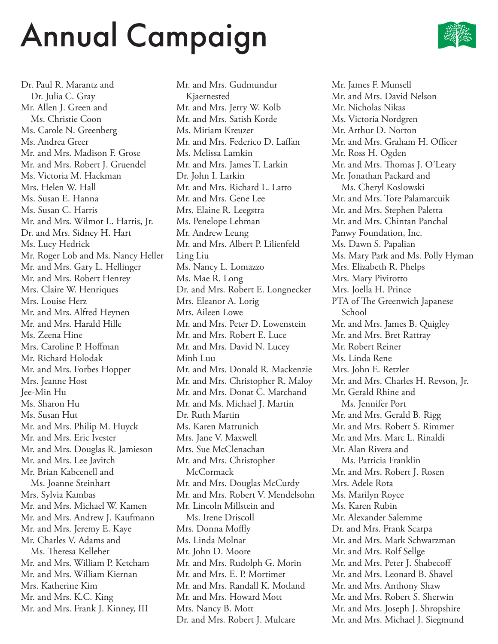

Dr. Paul R. Marantz and Dr. Julia C. Gray Mr. Allen J. Green and Ms. Christie Coon Ms. Carole N. Greenberg Ms. Andrea Greer Mr. and Mrs. Madison F. Grose Mr. and Mrs. Robert J. Gruendel Ms. Victoria M. Hackman Mrs. Helen W. Hall Ms. Susan E. Hanna Ms. Susan C. Harris Mr. and Mrs. Wilmot L. Harris, Jr. Dr. and Mrs. Sidney H. Hart Ms. Lucy Hedrick Mr. Roger Lob and Ms. Nancy Heller Mr. and Mrs. Gary L. Hellinger Mr. and Mrs. Robert Henrey Mrs. Claire W. Henriques Mrs. Louise Herz Mr. and Mrs. Alfred Heynen Mr. and Mrs. Harald Hille Ms. Zeena Hine Mrs. Caroline P. Hoffman Mr. Richard Holodak Mr. and Mrs. Forbes Hopper Mrs. Jeanne Host Jee-Min Hu Ms. Sharon Hu Ms. Susan Hut Mr. and Mrs. Philip M. Huyck Mr. and Mrs. Eric Ivester Mr. and Mrs. Douglas R. Jamieson Mr. and Mrs. Lee Javitch Mr. Brian Kabcenell and Ms. Joanne Steinhart Mrs. Sylvia Kambas Mr. and Mrs. Michael W. Kamen Mr. and Mrs. Andrew J. Kaufmann Mr. and Mrs. Jeremy E. Kaye Mr. Charles V. Adams and Ms. Theresa Kelleher Mr. and Mrs. William P. Ketcham Mr. and Mrs. William Kiernan Mrs. Katherine Kim Mr. and Mrs. K.C. King Mr. and Mrs. Frank J. Kinney, III

Mr. and Mrs. Gudmundur Kjaernested Mr. and Mrs. Jerry W. Kolb Mr. and Mrs. Satish Korde Ms. Miriam Kreuzer Mr. and Mrs. Federico D. Laffan Ms. Melissa Lamkin Mr. and Mrs. James T. Larkin Dr. John I. Larkin Mr. and Mrs. Richard L. Latto Mr. and Mrs. Gene Lee Mrs. Elaine R. Leegstra Ms. Penelope Lehman Mr. Andrew Leung Mr. and Mrs. Albert P. Lilienfeld Ling Liu Ms. Nancy L. Lomazzo Ms. Mae R. Long Dr. and Mrs. Robert E. Longnecker Mrs. Eleanor A. Lorig Mrs. Aileen Lowe Mr. and Mrs. Peter D. Lowenstein Mr. and Mrs. Robert E. Luce Mr. and Mrs. David N. Lucey Minh Luu Mr. and Mrs. Donald R. Mackenzie Mr. and Mrs. Christopher R. Maloy Mr. and Mrs. Donat C. Marchand Mr. and Ms. Michael J. Martin Dr. Ruth Martin Ms. Karen Matrunich Mrs. Jane V. Maxwell Mrs. Sue McClenachan Mr. and Mrs. Christopher **McCormack** Mr. and Mrs. Douglas McCurdy Mr. and Mrs. Robert V. Mendelsohn Mr. Lincoln Millstein and Ms. Irene Driscoll Mrs. Donna Moffly Ms. Linda Molnar Mr. John D. Moore Mr. and Mrs. Rudolph G. Morin Mr. and Mrs. E. P. Mortimer Mr. and Mrs. Randall K. Motland Mr. and Mrs. Howard Mott Mrs. Nancy B. Mott Dr. and Mrs. Robert J. Mulcare

Mr. James F. Munsell Mr. and Mrs. David Nelson Mr. Nicholas Nikas Ms. Victoria Nordgren Mr. Arthur D. Norton Mr. and Mrs. Graham H. Officer Mr. Ross H. Ogden Mr. and Mrs. Thomas J. O'Leary Mr. Jonathan Packard and Ms. Cheryl Koslowski Mr. and Mrs. Tore Palamarcuik Mr. and Mrs. Stephen Paletta Mr. and Mrs. Chintan Panchal Panwy Foundation, Inc. Ms. Dawn S. Papalian Ms. Mary Park and Ms. Polly Hyman Mrs. Elizabeth R. Phelps Mrs. Mary Pivirotto Mrs. Joella H. Prince PTA of The Greenwich Japanese School Mr. and Mrs. James B. Quigley Mr. and Mrs. Bret Rattray Mr. Robert Reiner Ms. Linda Rene Mrs. John E. Retzler Mr. and Mrs. Charles H. Revson, Jr. Mr. Gerald Rhine and Ms. Jennifer Port Mr. and Mrs. Gerald B. Rigg Mr. and Mrs. Robert S. Rimmer Mr. and Mrs. Marc L. Rinaldi Mr. Alan Rivera and Ms. Patricia Franklin Mr. and Mrs. Robert J. Rosen Mrs. Adele Rota Ms. Marilyn Royce Ms. Karen Rubin Mr. Alexander Salemme Dr. and Mrs. Frank Scarpa Mr. and Mrs. Mark Schwarzman Mr. and Mrs. Rolf Sellge Mr. and Mrs. Peter J. Shabecoff Mr. and Mrs. Leonard B. Shavel Mr. and Mrs. Anthony Shaw Mr. and Mrs. Robert S. Sherwin Mr. and Mrs. Joseph J. Shropshire Mr. and Mrs. Michael J. Siegmund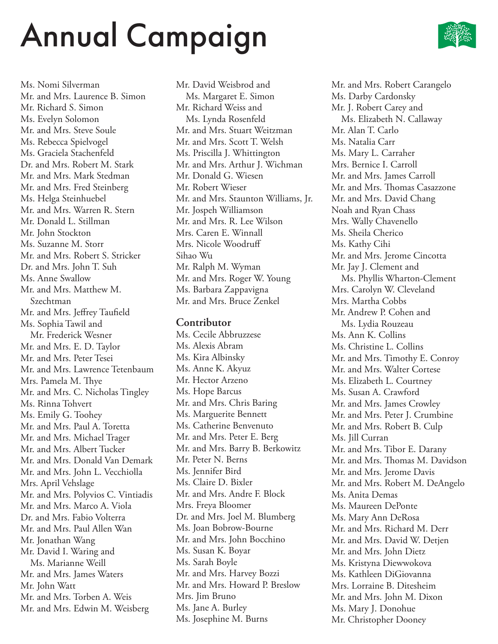Ms. Nomi Silverman Mr. and Mrs. Laurence B. Simon Mr. Richard S. Simon Ms. Evelyn Solomon Mr. and Mrs. Steve Soule Ms. Rebecca Spielvogel Ms. Graciela Stachenfeld Dr. and Mrs. Robert M. Stark Mr. and Mrs. Mark Stedman Mr. and Mrs. Fred Steinberg Ms. Helga Steinhuebel Mr. and Mrs. Warren R. Stern Mr. Donald L. Stillman Mr. John Stockton Ms. Suzanne M. Storr Mr. and Mrs. Robert S. Stricker Dr. and Mrs. John T. Suh Ms. Anne Swallow Mr. and Mrs. Matthew M. Szechtman Mr. and Mrs. Jeffrey Taufield Ms. Sophia Tawil and Mr. Frederick Wesner Mr. and Mrs. E. D. Taylor Mr. and Mrs. Peter Tesei Mr. and Mrs. Lawrence Tetenbaum Mrs. Pamela M. Thye Mr. and Mrs. C. Nicholas Tingley Ms. Rinna Tohvert Ms. Emily G. Toohey Mr. and Mrs. Paul A. Toretta Mr. and Mrs. Michael Trager Mr. and Mrs. Albert Tucker Mr. and Mrs. Donald Van Demark Mr. and Mrs. John L. Vecchiolla Mrs. April Vehslage Mr. and Mrs. Polyvios C. Vintiadis Mr. and Mrs. Marco A. Viola Dr. and Mrs. Fabio Volterra Mr. and Mrs. Paul Allen Wan Mr. Jonathan Wang Mr. David I. Waring and Ms. Marianne Weill Mr. and Mrs. James Waters Mr. John Watt Mr. and Mrs. Torben A. Weis Mr. and Mrs. Edwin M. Weisberg

Mr. David Weisbrod and Ms. Margaret E. Simon Mr. Richard Weiss and Ms. Lynda Rosenfeld Mr. and Mrs. Stuart Weitzman Mr. and Mrs. Scott T. Welsh Ms. Priscilla J. Whittington Mr. and Mrs. Arthur J. Wichman Mr. Donald G. Wiesen Mr. Robert Wieser Mr. and Mrs. Staunton Williams, Jr. Mr. Jospeh Williamson Mr. and Mrs. R. Lee Wilson Mrs. Caren E. Winnall Mrs. Nicole Woodruff Sihao Wu Mr. Ralph M. Wyman Mr. and Mrs. Roger W. Young Ms. Barbara Zappavigna Mr. and Mrs. Bruce Zenkel

#### **Contributor**

Ms. Cecile Abbruzzese Ms. Alexis Abram Ms. Kira Albinsky Ms. Anne K. Akyuz Mr. Hector Arzeno Ms. Hope Barcus Mr. and Mrs. Chris Baring Ms. Marguerite Bennett Ms. Catherine Benvenuto Mr. and Mrs. Peter E. Berg Mr. and Mrs. Barry B. Berkowitz Mr. Peter N. Berns Ms. Jennifer Bird Ms. Claire D. Bixler Mr. and Mrs. Andre F. Block Mrs. Freya Bloomer Dr. and Mrs. Joel M. Blumberg Ms. Joan Bobrow-Bourne Mr. and Mrs. John Bocchino Ms. Susan K. Boyar Ms. Sarah Boyle Mr. and Mrs. Harvey Bozzi Mr. and Mrs. Howard P. Breslow Mrs. Jim Bruno Ms. Jane A. Burley Ms. Josephine M. Burns

Mr. and Mrs. Robert Carangelo Ms. Darby Cardonsky Mr. J. Robert Carey and Ms. Elizabeth N. Callaway Mr. Alan T. Carlo Ms. Natalia Carr Ms. Mary L. Carraher Mrs. Bernice I. Carroll Mr. and Mrs. James Carroll Mr. and Mrs. Thomas Casazzone Mr. and Mrs. David Chang Noah and Ryan Chass Mrs. Wally Chavenello Ms. Sheila Cherico Ms. Kathy Cihi Mr. and Mrs. Jerome Cincotta Mr. Jay J. Clement and Ms. Phyllis Wharton-Clement Mrs. Carolyn W. Cleveland Mrs. Martha Cobbs Mr. Andrew P. Cohen and Ms. Lydia Rouzeau Ms. Ann K. Collins Ms. Christine L. Collins Mr. and Mrs. Timothy E. Conroy Mr. and Mrs. Walter Cortese Ms. Elizabeth L. Courtney Ms. Susan A. Crawford Mr. and Mrs. James Crowley Mr. and Mrs. Peter J. Crumbine Mr. and Mrs. Robert B. Culp Ms. Jill Curran Mr. and Mrs. Tibor E. Darany Mr. and Mrs. Thomas M. Davidson Mr. and Mrs. Jerome Davis Mr. and Mrs. Robert M. DeAngelo Ms. Anita Demas Ms. Maureen DePonte Ms. Mary Ann DeRosa Mr. and Mrs. Richard M. Derr Mr. and Mrs. David W. Detjen Mr. and Mrs. John Dietz Ms. Kristyna Diewwokova Ms. Kathleen DiGiovanna Mrs. Lorraine B. Ditesheim Mr. and Mrs. John M. Dixon Ms. Mary J. Donohue Mr. Christopher Dooney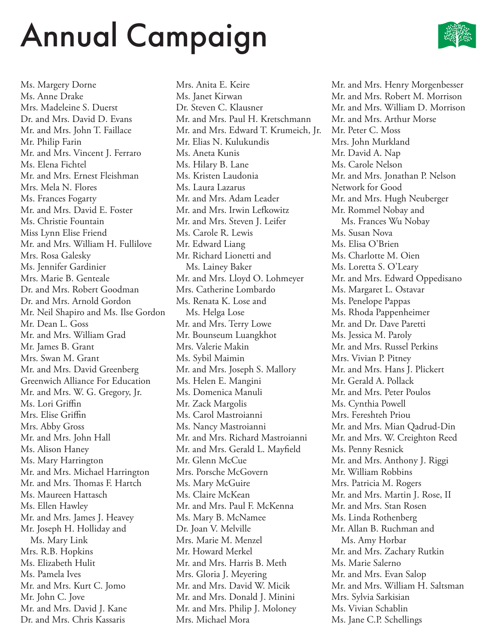

Ms. Margery Dorne Ms. Anne Drake Mrs. Madeleine S. Duerst Dr. and Mrs. David D. Evans Mr. and Mrs. John T. Faillace Mr. Philip Farin Mr. and Mrs. Vincent J. Ferraro Ms. Elena Fichtel Mr. and Mrs. Ernest Fleishman Mrs. Mela N. Flores Ms. Frances Fogarty Mr. and Mrs. David E. Foster Ms. Christie Fountain Miss Lynn Elise Friend Mr. and Mrs. William H. Fullilove Mrs. Rosa Galesky Ms. Jennifer Gardinier Mrs. Marie B. Genteale Dr. and Mrs. Robert Goodman Dr. and Mrs. Arnold Gordon Mr. Neil Shapiro and Ms. Ilse Gordon Mr. Dean L. Goss Mr. and Mrs. William Grad Mr. James B. Grant Mrs. Swan M. Grant Mr. and Mrs. David Greenberg Greenwich Alliance For Education Mr. and Mrs. W. G. Gregory, Jr. Ms. Lori Griffin Mrs. Elise Griffin Mrs. Abby Gross Mr. and Mrs. John Hall Ms. Alison Haney Ms. Mary Harrington Mr. and Mrs. Michael Harrington Mr. and Mrs. Thomas F. Hartch Ms. Maureen Hattasch Ms. Ellen Hawley Mr. and Mrs. James J. Heavey Mr. Joseph H. Holliday and Ms. Mary Link Mrs. R.B. Hopkins Ms. Elizabeth Hulit Ms. Pamela Ives Mr. and Mrs. Kurt C. Jomo Mr. John C. Jove Mr. and Mrs. David J. Kane Dr. and Mrs. Chris Kassaris

Mrs. Anita E. Keire Ms. Janet Kirwan Dr. Steven C. Klausner Mr. and Mrs. Paul H. Kretschmann Mr. and Mrs. Edward T. Krumeich, Jr. Mr. Elias N. Kulukundis Ms. Aneta Kunis Ms. Hilary B. Lane Ms. Kristen Laudonia Ms. Laura Lazarus Mr. and Mrs. Adam Leader Mr. and Mrs. Irwin Lefkowitz Mr. and Mrs. Steven J. Leifer Ms. Carole R. Lewis Mr. Edward Liang Mr. Richard Lionetti and Ms. Lainey Baker Mr. and Mrs. Lloyd O. Lohmeyer Mrs. Catherine Lombardo Ms. Renata K. Lose and Ms. Helga Lose Mr. and Mrs. Terry Lowe Mr. Bounseum Luangkhot Mrs. Valerie Makin Ms. Sybil Maimin Mr. and Mrs. Joseph S. Mallory Ms. Helen E. Mangini Ms. Domenica Manuli Mr. Zack Margolis Ms. Carol Mastroianni Ms. Nancy Mastroianni Mr. and Mrs. Richard Mastroianni Mr. and Mrs. Gerald L. Mayfield Mr. Glenn McCue Mrs. Porsche McGovern Ms. Mary McGuire Ms. Claire McKean Mr. and Mrs. Paul F. McKenna Ms. Mary B. McNamee Dr. Joan V. Melville Mrs. Marie M. Menzel Mr. Howard Merkel Mr. and Mrs. Harris B. Meth Mrs. Gloria J. Meyering Mr. and Mrs. David W. Micik Mr. and Mrs. Donald J. Minini Mr. and Mrs. Philip J. Moloney Mrs. Michael Mora

Mr. and Mrs. Henry Morgenbesser Mr. and Mrs. Robert M. Morrison Mr. and Mrs. William D. Morrison Mr. and Mrs. Arthur Morse Mr. Peter C. Moss Mrs. John Murkland Mr. David A. Nap Ms. Carole Nelson Mr. and Mrs. Jonathan P. Nelson Network for Good Mr. and Mrs. Hugh Neuberger Mr. Rommel Nobay and Ms. Frances Wu Nobay Ms. Susan Nova Ms. Elisa O'Brien Ms. Charlotte M. Oien Ms. Loretta S. O'Leary Mr. and Mrs. Edward Oppedisano Ms. Margaret L. Ostavar Ms. Penelope Pappas Ms. Rhoda Pappenheimer Mr. and Dr. Dave Paretti Ms. Jessica M. Paroly Mr. and Mrs. Russel Perkins Mrs. Vivian P. Pitney Mr. and Mrs. Hans J. Plickert Mr. Gerald A. Pollack Mr. and Mrs. Peter Poulos Ms. Cynthia Powell Mrs. Fereshteh Priou Mr. and Mrs. Mian Qadrud-Din Mr. and Mrs. W. Creighton Reed Ms. Penny Resnick Mr. and Mrs. Anthony J. Riggi Mr. William Robbins Mrs. Patricia M. Rogers Mr. and Mrs. Martin J. Rose, II Mr. and Mrs. Stan Rosen Ms. Linda Rothenberg Mr. Allan B. Ruchman and Ms. Amy Horbar Mr. and Mrs. Zachary Rutkin Ms. Marie Salerno Mr. and Mrs. Evan Salop Mr. and Mrs. William H. Saltsman Mrs. Sylvia Sarkisian Ms. Vivian Schablin Ms. Jane C.P. Schellings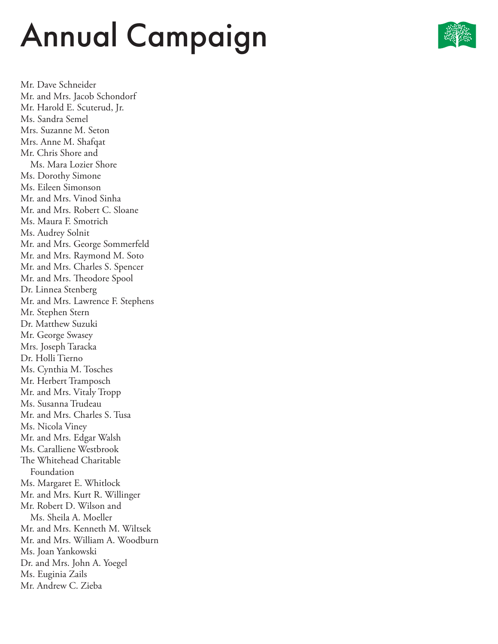

Mr. Dave Schneider Mr. and Mrs. Jacob Schondorf Mr. Harold E. Scuterud, Jr. Ms. Sandra Semel Mrs. Suzanne M. Seton Mrs. Anne M. Shafqat Mr. Chris Shore and Ms. Mara Lozier Shore Ms. Dorothy Simone Ms. Eileen Simonson Mr. and Mrs. Vinod Sinha Mr. and Mrs. Robert C. Sloane Ms. Maura F. Smotrich Ms. Audrey Solnit Mr. and Mrs. George Sommerfeld Mr. and Mrs. Raymond M. Soto Mr. and Mrs. Charles S. Spencer Mr. and Mrs. Theodore Spool Dr. Linnea Stenberg Mr. and Mrs. Lawrence F. Stephens Mr. Stephen Stern Dr. Matthew Suzuki Mr. George Swasey Mrs. Joseph Taracka Dr. Holli Tierno Ms. Cynthia M. Tosches Mr. Herbert Tramposch Mr. and Mrs. Vitaly Tropp Ms. Susanna Trudeau Mr. and Mrs. Charles S. Tusa Ms. Nicola Viney Mr. and Mrs. Edgar Walsh Ms. Caralliene Westbrook The Whitehead Charitable Foundation Ms. Margaret E. Whitlock Mr. and Mrs. Kurt R. Willinger Mr. Robert D. Wilson and Ms. Sheila A. Moeller Mr. and Mrs. Kenneth M. Wiltsek Mr. and Mrs. William A. Woodburn Ms. Joan Yankowski Dr. and Mrs. John A. Yoegel Ms. Euginia Zails Mr. Andrew C. Zieba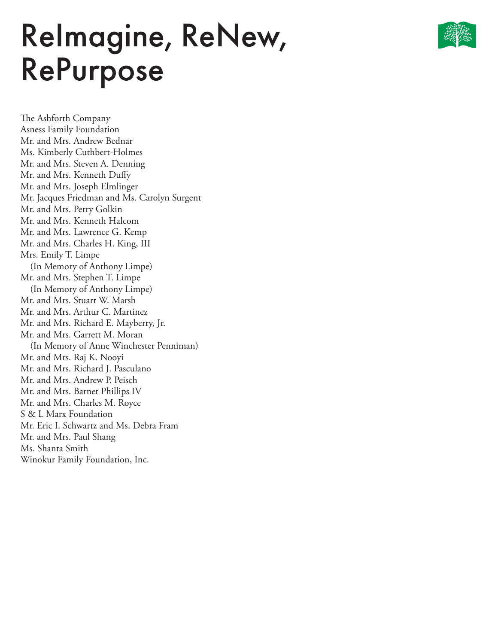### ReImagine, ReNew, RePurpose

The Ashforth Company Asness Family Foundation Mr. and Mrs. Andrew Bednar Ms. Kimberly Cuthbert-Holmes Mr. and Mrs. Steven A. Denning Mr. and Mrs. Kenneth Duffy Mr. and Mrs. Joseph Elmlinger Mr. Jacques Friedman and Ms. Carolyn Surgent Mr. and Mrs. Perry Golkin Mr. and Mrs. Kenneth Halcom Mr. and Mrs. Lawrence G. Kemp Mr. and Mrs. Charles H. King, III Mrs. Emily T. Limpe (In Memory of Anthony Limpe) Mr. and Mrs. Stephen T. Limpe (In Memory of Anthony Limpe) Mr. and Mrs. Stuart W. Marsh Mr. and Mrs. Arthur C. Martinez Mr. and Mrs. Richard E. Mayberry, Jr. Mr. and Mrs. Garrett M. Moran (In Memory of Anne Winchester Penniman) Mr. and Mrs. Raj K. Nooyi Mr. and Mrs. Richard J. Pasculano Mr. and Mrs. Andrew P. Peisch Mr. and Mrs. Barnet Phillips IV Mr. and Mrs. Charles M. Royce S & L Marx Foundation Mr. Eric I. Schwartz and Ms. Debra Fram Mr. and Mrs. Paul Shang Ms. Shanta Smith Winokur Family Foundation, Inc.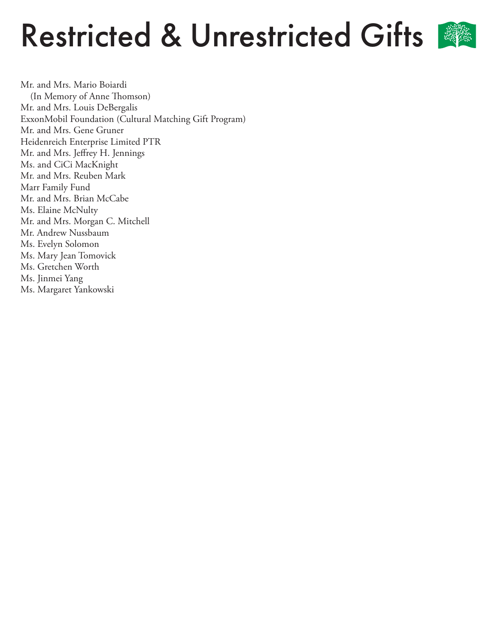### Restricted & Unrestricted Gifts



Mr. and Mrs. Mario Boiardi (In Memory of Anne Thomson) Mr. and Mrs. Louis DeBergalis ExxonMobil Foundation (Cultural Matching Gift Program) Mr. and Mrs. Gene Gruner Heidenreich Enterprise Limited PTR Mr. and Mrs. Jeffrey H. Jennings Ms. and CiCi MacKnight Mr. and Mrs. Reuben Mark Marr Family Fund Mr. and Mrs. Brian McCabe Ms. Elaine McNulty Mr. and Mrs. Morgan C. Mitchell Mr. Andrew Nussbaum Ms. Evelyn Solomon Ms. Mary Jean Tomovick Ms. Gretchen Worth Ms. Jinmei Yang Ms. Margaret Yankowski